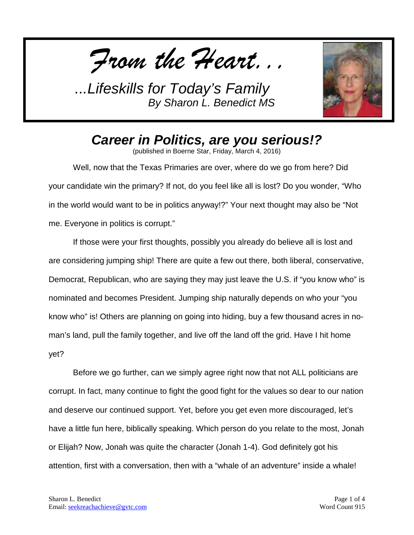*From the Heart...*



*Career in Politics, are you serious!?*

(published in Boerne Star, Friday, March 4, 2016)

Well, now that the Texas Primaries are over, where do we go from here? Did your candidate win the primary? If not, do you feel like all is lost? Do you wonder, "Who in the world would want to be in politics anyway!?" Your next thought may also be "Not me. Everyone in politics is corrupt."

If those were your first thoughts, possibly you already do believe all is lost and are considering jumping ship! There are quite a few out there, both liberal, conservative, Democrat, Republican, who are saying they may just leave the U.S. if "you know who" is nominated and becomes President. Jumping ship naturally depends on who your "you know who" is! Others are planning on going into hiding, buy a few thousand acres in noman's land, pull the family together, and live off the land off the grid. Have I hit home yet?

Before we go further, can we simply agree right now that not ALL politicians are corrupt. In fact, many continue to fight the good fight for the values so dear to our nation and deserve our continued support. Yet, before you get even more discouraged, let's have a little fun here, biblically speaking. Which person do you relate to the most, Jonah or Elijah? Now, Jonah was quite the character (Jonah 1-4). God definitely got his attention, first with a conversation, then with a "whale of an adventure" inside a whale!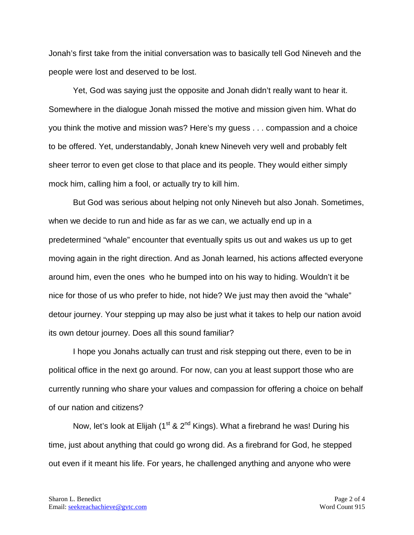Jonah's first take from the initial conversation was to basically tell God Nineveh and the people were lost and deserved to be lost.

Yet, God was saying just the opposite and Jonah didn't really want to hear it. Somewhere in the dialogue Jonah missed the motive and mission given him. What do you think the motive and mission was? Here's my guess . . . compassion and a choice to be offered. Yet, understandably, Jonah knew Nineveh very well and probably felt sheer terror to even get close to that place and its people. They would either simply mock him, calling him a fool, or actually try to kill him.

But God was serious about helping not only Nineveh but also Jonah. Sometimes, when we decide to run and hide as far as we can, we actually end up in a predetermined "whale" encounter that eventually spits us out and wakes us up to get moving again in the right direction. And as Jonah learned, his actions affected everyone around him, even the ones who he bumped into on his way to hiding. Wouldn't it be nice for those of us who prefer to hide, not hide? We just may then avoid the "whale" detour journey. Your stepping up may also be just what it takes to help our nation avoid its own detour journey. Does all this sound familiar?

I hope you Jonahs actually can trust and risk stepping out there, even to be in political office in the next go around. For now, can you at least support those who are currently running who share your values and compassion for offering a choice on behalf of our nation and citizens?

Now, let's look at Elijah (1<sup>st</sup> & 2<sup>nd</sup> Kings). What a firebrand he was! During his time, just about anything that could go wrong did. As a firebrand for God, he stepped out even if it meant his life. For years, he challenged anything and anyone who were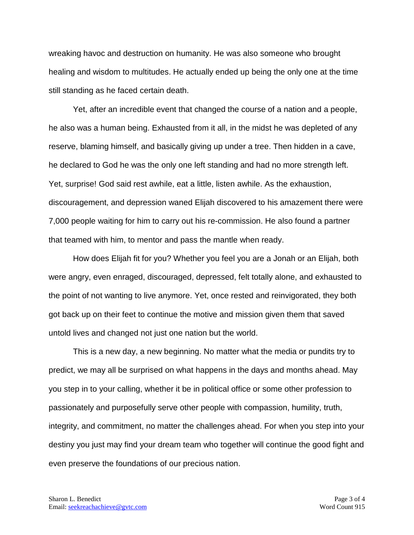wreaking havoc and destruction on humanity. He was also someone who brought healing and wisdom to multitudes. He actually ended up being the only one at the time still standing as he faced certain death.

Yet, after an incredible event that changed the course of a nation and a people, he also was a human being. Exhausted from it all, in the midst he was depleted of any reserve, blaming himself, and basically giving up under a tree. Then hidden in a cave, he declared to God he was the only one left standing and had no more strength left. Yet, surprise! God said rest awhile, eat a little, listen awhile. As the exhaustion, discouragement, and depression waned Elijah discovered to his amazement there were 7,000 people waiting for him to carry out his re-commission. He also found a partner that teamed with him, to mentor and pass the mantle when ready.

How does Elijah fit for you? Whether you feel you are a Jonah or an Elijah, both were angry, even enraged, discouraged, depressed, felt totally alone, and exhausted to the point of not wanting to live anymore. Yet, once rested and reinvigorated, they both got back up on their feet to continue the motive and mission given them that saved untold lives and changed not just one nation but the world.

This is a new day, a new beginning. No matter what the media or pundits try to predict, we may all be surprised on what happens in the days and months ahead. May you step in to your calling, whether it be in political office or some other profession to passionately and purposefully serve other people with compassion, humility, truth, integrity, and commitment, no matter the challenges ahead. For when you step into your destiny you just may find your dream team who together will continue the good fight and even preserve the foundations of our precious nation.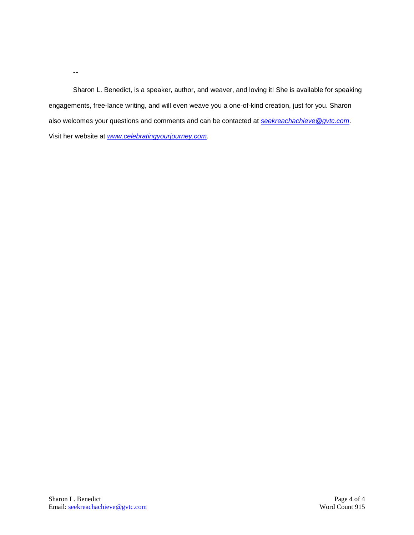--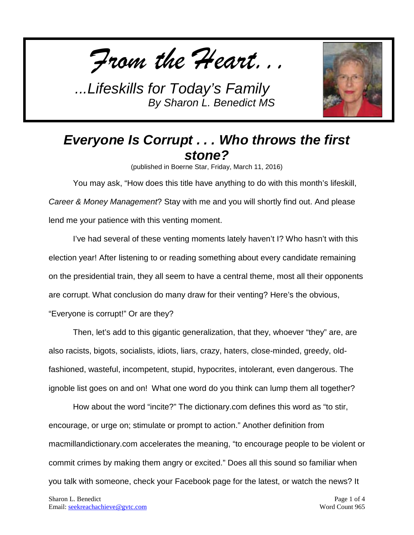*From the Heart...*



## *Everyone Is Corrupt . . . Who throws the first stone?*

(published in Boerne Star, Friday, March 11, 2016)

You may ask, "How does this title have anything to do with this month's lifeskill, *Career & Money Management*? Stay with me and you will shortly find out. And please lend me your patience with this venting moment.

I've had several of these venting moments lately haven't I? Who hasn't with this election year! After listening to or reading something about every candidate remaining on the presidential train, they all seem to have a central theme, most all their opponents are corrupt. What conclusion do many draw for their venting? Here's the obvious, "Everyone is corrupt!" Or are they?

Then, let's add to this gigantic generalization, that they, whoever "they" are, are also racists, bigots, socialists, idiots, liars, crazy, haters, close-minded, greedy, oldfashioned, wasteful, incompetent, stupid, hypocrites, intolerant, even dangerous. The ignoble list goes on and on! What one word do you think can lump them all together?

How about the word "incite?" The dictionary.com defines this word as "to stir, encourage, or urge on; stimulate or prompt to action." Another definition from macmillandictionary.com accelerates the meaning, " to encourage people to be violent or commit crimes by making them angry or excited." Does all this sound so familiar when you talk with someone, check your Facebook page for the latest, or watch the news? It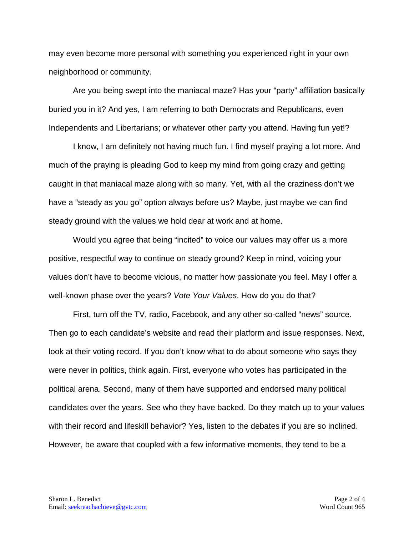may even become more personal with something you experienced right in your own neighborhood or community.

Are you being swept into the maniacal maze? Has your "party" affiliation basically buried you in it? And yes, I am referring to both Democrats and Republicans, even Independents and Libertarians; or whatever other party you attend. Having fun yet!?

I know, I am definitely not having much fun. I find myself praying a lot more. And much of the praying is pleading God to keep my mind from going crazy and getting caught in that maniacal maze along with so many. Yet, with all the craziness don't we have a "steady as you go" option always before us? Maybe, just maybe we can find steady ground with the values we hold dear at work and at home.

Would you agree that being "incited" to voice our values may offer us a more positive, respectful way to continue on steady ground? Keep in mind, voicing your values don't have to become vicious, no matter how passionate you feel. May I offer a well-known phase over the years? *Vote Your Values*. How do you do that?

First, turn off the TV, radio, Facebook, and any other so-called "news" source. Then go to each candidate's website and read their platform and issue responses. Next, look at their voting record. If you don't know what to do about someone who says they were never in politics, think again. First, everyone who votes has participated in the political arena. Second, many of them have supported and endorsed many political candidates over the years. See who they have backed. Do they match up to your values with their record and lifeskill behavior? Yes, listen to the debates if you are so inclined. However, be aware that coupled with a few informative moments, they tend to be a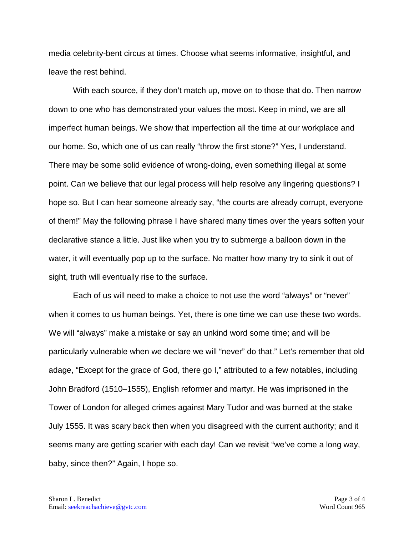media celebrity-bent circus at times. Choose what seems informative, insightful, and leave the rest behind.

With each source, if they don't match up, move on to those that do. Then narrow down to one who has demonstrated your values the most. Keep in mind, we are all imperfect human beings. We show that imperfection all the time at our workplace and our home. So, which one of us can really "throw the first stone?" Yes, I understand. There may be some solid evidence of wrong-doing, even something illegal at some point. Can we believe that our legal process will help resolve any lingering questions? I hope so. But I can hear someone already say, "the courts are already corrupt, everyone of them!" May the following phrase I have shared many times over the years soften your declarative stance a little. Just like when you try to submerge a balloon down in the water, it will eventually pop up to the surface. No matter how many try to sink it out of sight, truth will eventually rise to the surface.

Each of us will need to make a choice to not use the word "always" or "never" when it comes to us human beings. Yet, there is one time we can use these two words. We will "always" make a mistake or say an unkind word some time; and will be particularly vulnerable when we declare we will "never" do that." Let's remember that old adage, "Except for the grace of God, there go I," attributed to a few notables, including John Bradford (1510–1555), English reformer and martyr. He was imprisoned in the Tower of London for alleged crimes against Mary Tudor and was burned at the stake July 1555. It was scary back then when you disagreed with the current authority; and it seems many are getting scarier with each day! Can we revisit "we've come a long way, baby, since then?" Again, I hope so.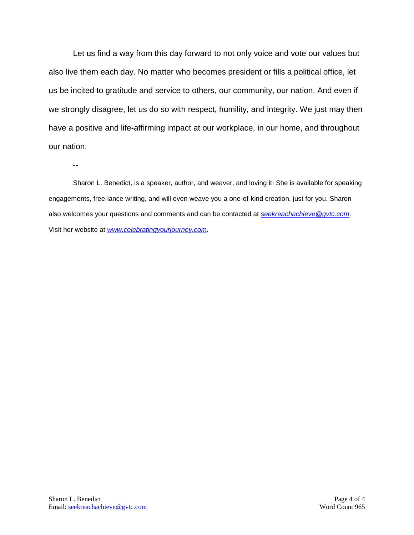Let us find a way from this day forward to not only voice and vote our values but also live them each day. No matter who becomes president or fills a political office, let us be incited to gratitude and service to others, our community, our nation. And even if we strongly disagree, let us do so with respect, humility, and integrity. We just may then have a positive and life-affirming impact at our workplace, in our home, and throughout our nation.

--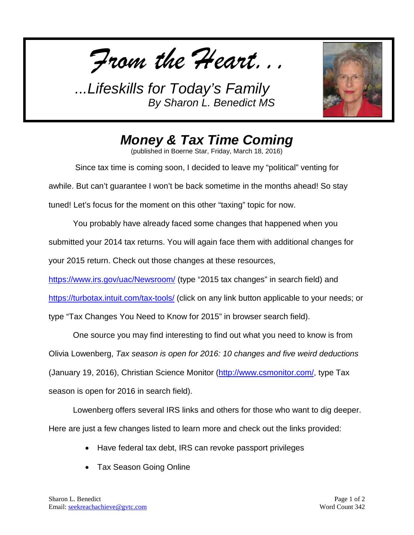*From the Heart...*



*Money & Tax Time Coming*

(published in Boerne Star, Friday, March 18, 2016)

Since tax time is coming soon, I decided to leave my "political" venting for awhile. But can't guarantee I won't be back sometime in the months ahead! So stay tuned! Let's focus for the moment on this other "taxing" topic for now.

You probably have already faced some changes that happened when you submitted your 2014 tax returns. You will again face them with additional changes for your 2015 return. Check out those changes at these resources,

<https://www.irs.gov/uac/Newsroom/> (type "2015 tax changes" in search field) and

<https://turbotax.intuit.com/tax-tools/> (click on any link button applicable to your needs; or

type "Tax Changes You Need to Know for 2015" in browser search field).

One source you may find interesting to find out what you need to know is from Olivia Lowenberg, *Tax season is open for 2016: 10 changes and five weird deductions* (January 19, 2016), Christian Science Monitor [\(http://www.csmonitor.com/,](http://www.csmonitor.com/) type Tax season is open for 2016 in search field).

Lowenberg offers several IRS links and others for those who want to dig deeper. Here are just a few changes listed to learn more and check out the links provided:

- Have federal tax debt, IRS can revoke passport privileges
- Tax Season Going Online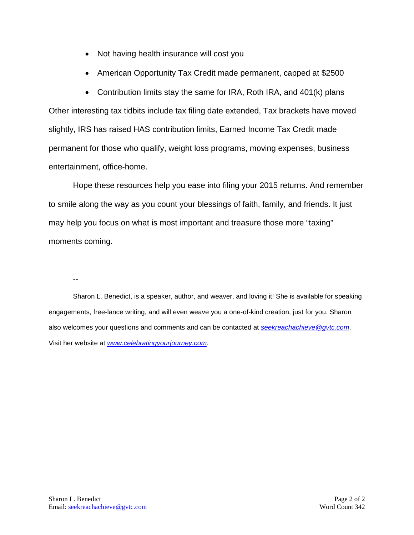- Not having health insurance will cost you
- American Opportunity Tax Credit made permanent, capped at \$2500

• Contribution limits stay the same for IRA, Roth IRA, and 401(k) plans Other interesting tax tidbits include tax filing date extended, Tax brackets have moved slightly, IRS has raised HAS contribution limits, Earned Income Tax Credit made permanent for those who qualify, weight loss programs, moving expenses, business entertainment, office-home.

Hope these resources help you ease into filing your 2015 returns. And remember to smile along the way as you count your blessings of faith, family, and friends. It just may help you focus on what is most important and treasure those more "taxing" moments coming.

--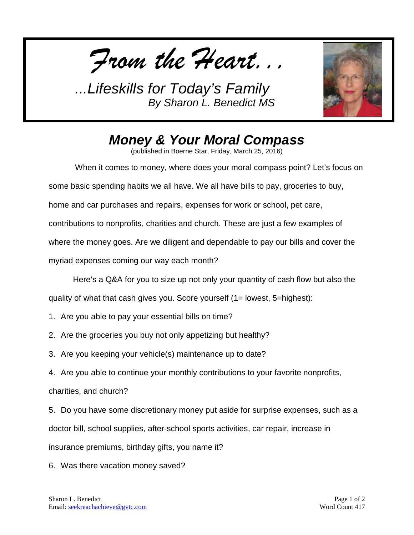*From the Heart...*



## *Money & Your Moral Compass*

(published in Boerne Star, Friday, March 25, 2016)

When it comes to money, where does your moral compass point? Let's focus on some basic spending habits we all have. We all have bills to pay, groceries to buy, home and car purchases and repairs, expenses for work or school, pet care, contributions to nonprofits, charities and church. These are just a few examples of where the money goes. Are we diligent and dependable to pay our bills and cover the myriad expenses coming our way each month?

Here's a Q&A for you to size up not only your quantity of cash flow but also the

quality of what that cash gives you. Score yourself (1= lowest, 5=highest):

- 1. Are you able to pay your essential bills on time?
- 2. Are the groceries you buy not only appetizing but healthy?
- 3. Are you keeping your vehicle(s) maintenance up to date?
- 4. Are you able to continue your monthly contributions to your favorite nonprofits,

charities, and church?

5. Do you have some discretionary money put aside for surprise expenses, such as a doctor bill, school supplies, after-school sports activities, car repair, increase in insurance premiums, birthday gifts, you name it?

6. Was there vacation money saved?